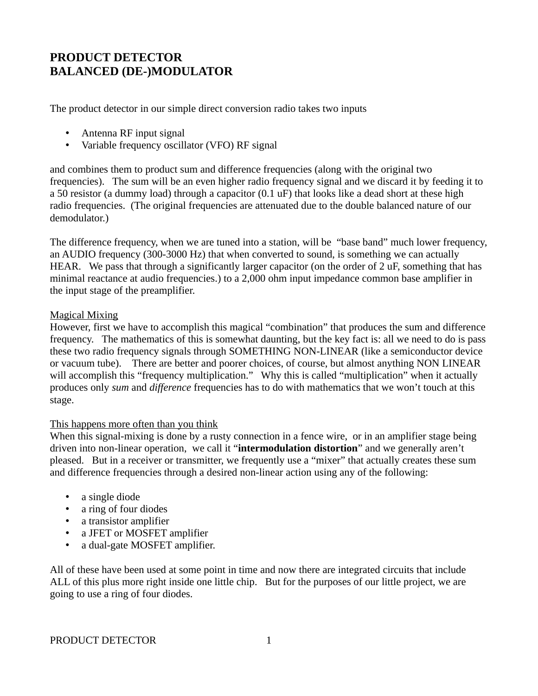# **PRODUCT DETECTOR BALANCED (DE-)MODULATOR**

The product detector in our simple direct conversion radio takes two inputs

- Antenna RF input signal
- Variable frequency oscillator (VFO) RF signal

and combines them to product sum and difference frequencies (along with the original two frequencies). The sum will be an even higher radio frequency signal and we discard it by feeding it to a 50 resistor (a dummy load) through a capacitor (0.1 uF) that looks like a dead short at these high radio frequencies. (The original frequencies are attenuated due to the double balanced nature of our demodulator.)

The difference frequency, when we are tuned into a station, will be "base band" much lower frequency, an AUDIO frequency (300-3000 Hz) that when converted to sound, is something we can actually HEAR. We pass that through a significantly larger capacitor (on the order of 2 uF, something that has minimal reactance at audio frequencies.) to a 2,000 ohm input impedance common base amplifier in the input stage of the preamplifier.

## Magical Mixing

However, first we have to accomplish this magical "combination" that produces the sum and difference frequency. The mathematics of this is somewhat daunting, but the key fact is: all we need to do is pass these two radio frequency signals through SOMETHING NON-LINEAR (like a semiconductor device or vacuum tube). There are better and poorer choices, of course, but almost anything NON LINEAR will accomplish this "frequency multiplication." Why this is called "multiplication" when it actually produces only *sum* and *difference* frequencies has to do with mathematics that we won't touch at this stage.

### This happens more often than you think

When this signal-mixing is done by a rusty connection in a fence wire, or in an amplifier stage being driven into non-linear operation, we call it "**intermodulation distortion**" and we generally aren't pleased. But in a receiver or transmitter, we frequently use a "mixer" that actually creates these sum and difference frequencies through a desired non-linear action using any of the following:

- a single diode
- a ring of four diodes
- a transistor amplifier
- a JFET or MOSFET amplifier
- a dual-gate MOSFET amplifier.

All of these have been used at some point in time and now there are integrated circuits that include ALL of this plus more right inside one little chip. But for the purposes of our little project, we are going to use a ring of four diodes.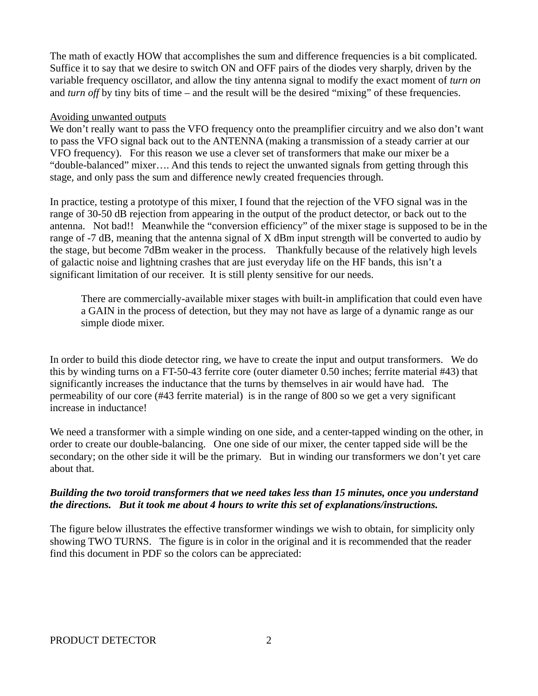The math of exactly HOW that accomplishes the sum and difference frequencies is a bit complicated. Suffice it to say that we desire to switch ON and OFF pairs of the diodes very sharply, driven by the variable frequency oscillator, and allow the tiny antenna signal to modify the exact moment of *turn on* and *turn off* by tiny bits of time – and the result will be the desired "mixing" of these frequencies.

### Avoiding unwanted outputs

We don't really want to pass the VFO frequency onto the preamplifier circuitry and we also don't want to pass the VFO signal back out to the ANTENNA (making a transmission of a steady carrier at our VFO frequency). For this reason we use a clever set of transformers that make our mixer be a "double-balanced" mixer…. And this tends to reject the unwanted signals from getting through this stage, and only pass the sum and difference newly created frequencies through.

In practice, testing a prototype of this mixer, I found that the rejection of the VFO signal was in the range of 30-50 dB rejection from appearing in the output of the product detector, or back out to the antenna. Not bad!! Meanwhile the "conversion efficiency" of the mixer stage is supposed to be in the range of -7 dB, meaning that the antenna signal of X dBm input strength will be converted to audio by the stage, but become 7dBm weaker in the process. Thankfully because of the relatively high levels of galactic noise and lightning crashes that are just everyday life on the HF bands, this isn't a significant limitation of our receiver. It is still plenty sensitive for our needs.

There are commercially-available mixer stages with built-in amplification that could even have a GAIN in the process of detection, but they may not have as large of a dynamic range as our simple diode mixer.

In order to build this diode detector ring, we have to create the input and output transformers. We do this by winding turns on a FT-50-43 ferrite core (outer diameter 0.50 inches; ferrite material #43) that significantly increases the inductance that the turns by themselves in air would have had. The permeability of our core (#43 ferrite material) is in the range of 800 so we get a very significant increase in inductance!

We need a transformer with a simple winding on one side, and a center-tapped winding on the other, in order to create our double-balancing. One one side of our mixer, the center tapped side will be the secondary; on the other side it will be the primary. But in winding our transformers we don't yet care about that.

# *Building the two toroid transformers that we need takes less than 15 minutes, once you understand the directions. But it took me about 4 hours to write this set of explanations/instructions.*

The figure below illustrates the effective transformer windings we wish to obtain, for simplicity only showing TWO TURNS. The figure is in color in the original and it is recommended that the reader find this document in PDF so the colors can be appreciated: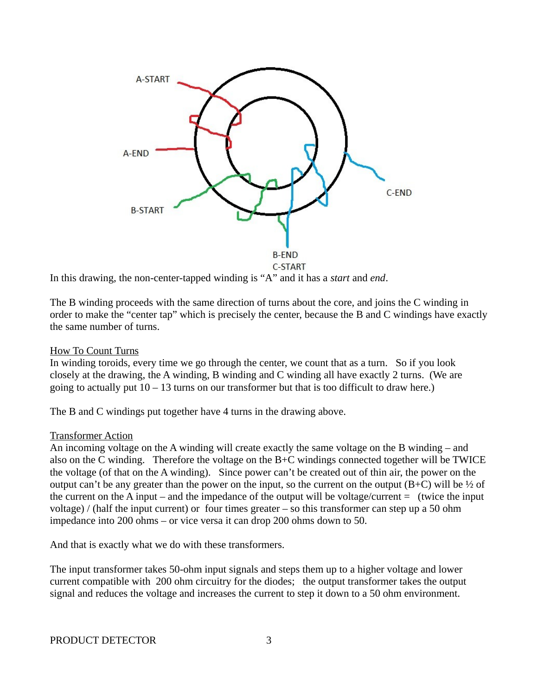

In this drawing, the non-center-tapped winding is "A" and it has a *start* and *end*.

The B winding proceeds with the same direction of turns about the core, and joins the C winding in order to make the "center tap" which is precisely the center, because the B and C windings have exactly the same number of turns.

### How To Count Turns

In winding toroids, every time we go through the center, we count that as a turn. So if you look closely at the drawing, the A winding, B winding and C winding all have exactly 2 turns. (We are going to actually put  $10 - 13$  turns on our transformer but that is too difficult to draw here.)

The B and C windings put together have 4 turns in the drawing above.

#### Transformer Action

An incoming voltage on the A winding will create exactly the same voltage on the B winding – and also on the C winding. Therefore the voltage on the B+C windings connected together will be TWICE the voltage (of that on the A winding). Since power can't be created out of thin air, the power on the output can't be any greater than the power on the input, so the current on the output  $(B+C)$  will be  $\frac{1}{2}$  of the current on the A input – and the impedance of the output will be voltage/current  $=$  (twice the input voltage) / (half the input current) or four times greater – so this transformer can step up a 50 ohm impedance into 200 ohms – or vice versa it can drop 200 ohms down to 50.

And that is exactly what we do with these transformers.

The input transformer takes 50-ohm input signals and steps them up to a higher voltage and lower current compatible with 200 ohm circuitry for the diodes; the output transformer takes the output signal and reduces the voltage and increases the current to step it down to a 50 ohm environment.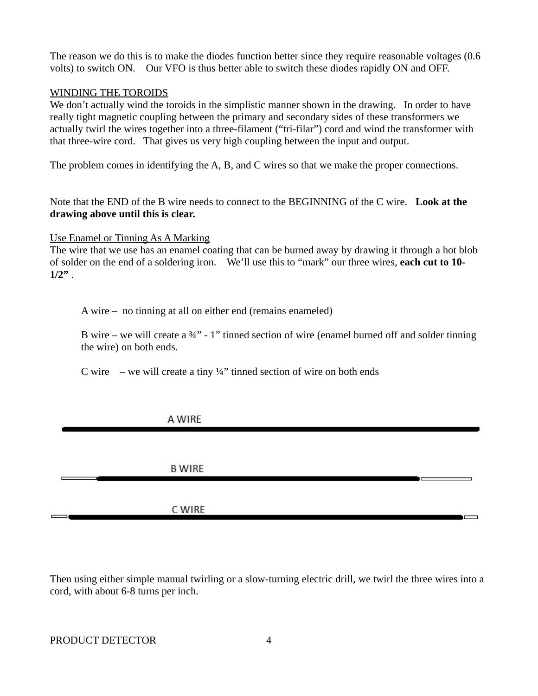The reason we do this is to make the diodes function better since they require reasonable voltages (0.6 volts) to switch ON. Our VFO is thus better able to switch these diodes rapidly ON and OFF.

### WINDING THE TOROIDS

We don't actually wind the toroids in the simplistic manner shown in the drawing. In order to have really tight magnetic coupling between the primary and secondary sides of these transformers we actually twirl the wires together into a three-filament ("tri-filar") cord and wind the transformer with that three-wire cord. That gives us very high coupling between the input and output.

The problem comes in identifying the A, B, and C wires so that we make the proper connections.

Note that the END of the B wire needs to connect to the BEGINNING of the C wire. **Look at the drawing above until this is clear.**

Use Enamel or Tinning As A Marking

The wire that we use has an enamel coating that can be burned away by drawing it through a hot blob of solder on the end of a soldering iron. We'll use this to "mark" our three wires, **each cut to 10- 1/2"** .

A wire – no tinning at all on either end (remains enameled)

B wire – we will create a  $\frac{3}{4}$ " - 1" tinned section of wire (enamel burned off and solder tinning the wire) on both ends.

C wire – we will create a tiny  $\frac{1}{4}$ " tinned section of wire on both ends

# A WIRE

**B WIRE** 

# C WIRE

Then using either simple manual twirling or a slow-turning electric drill, we twirl the three wires into a cord, with about 6-8 turns per inch.

 $\blacksquare$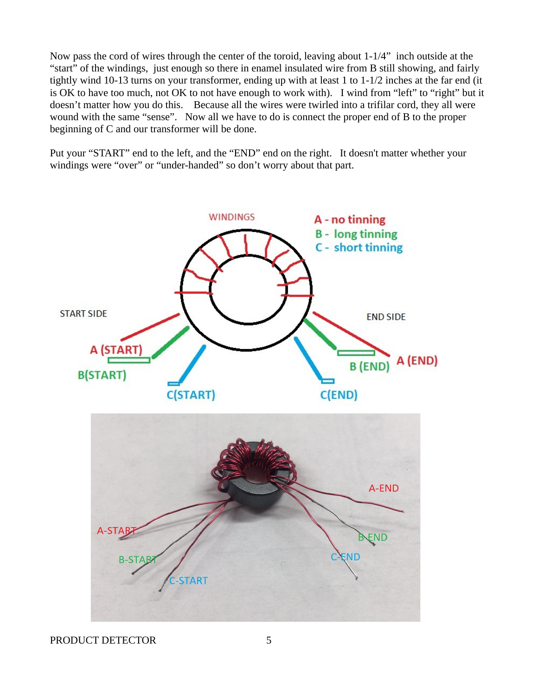Now pass the cord of wires through the center of the toroid, leaving about 1-1/4" inch outside at the "start" of the windings, just enough so there in enamel insulated wire from B still showing, and fairly tightly wind 10-13 turns on your transformer, ending up with at least 1 to 1-1/2 inches at the far end (it is OK to have too much, not OK to not have enough to work with). I wind from "left" to "right" but it doesn't matter how you do this. Because all the wires were twirled into a trifilar cord, they all were wound with the same "sense". Now all we have to do is connect the proper end of B to the proper beginning of C and our transformer will be done.

Put your "START" end to the left, and the "END" end on the right. It doesn't matter whether your windings were "over" or "under-handed" so don't worry about that part.



PRODUCT DETECTOR 5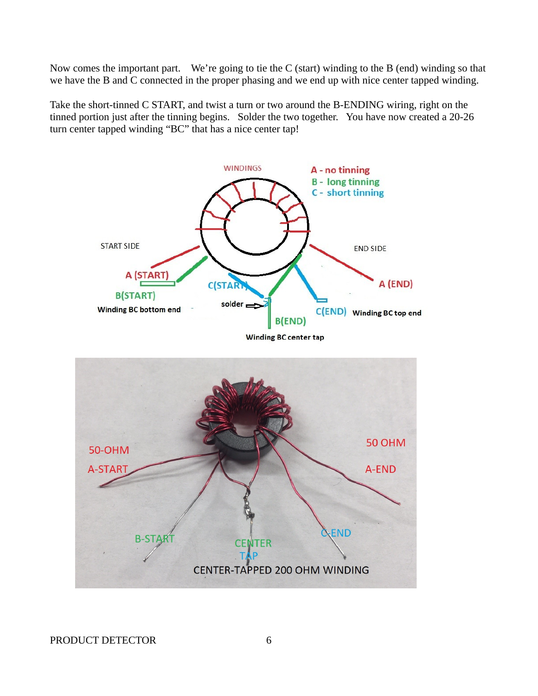Now comes the important part. We're going to tie the C (start) winding to the B (end) winding so that we have the B and C connected in the proper phasing and we end up with nice center tapped winding.

Take the short-tinned C START, and twist a turn or two around the B-ENDING wiring, right on the tinned portion just after the tinning begins. Solder the two together. You have now created a 20-26 turn center tapped winding "BC" that has a nice center tap!

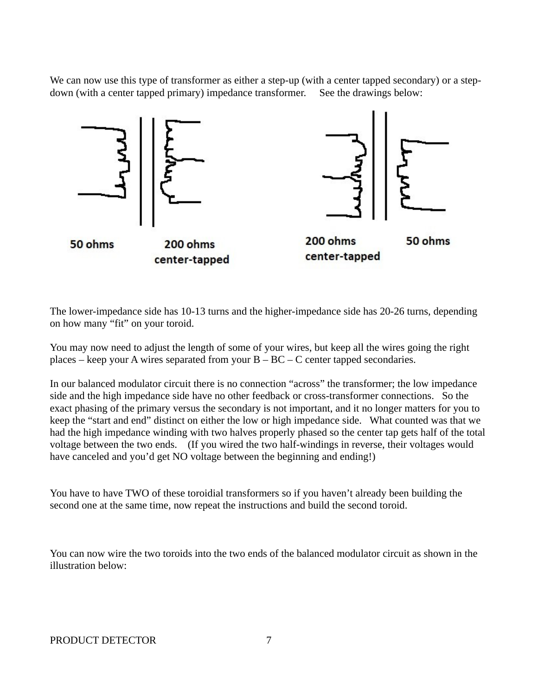We can now use this type of transformer as either a step-up (with a center tapped secondary) or a stepdown (with a center tapped primary) impedance transformer. See the drawings below:



The lower-impedance side has 10-13 turns and the higher-impedance side has 20-26 turns, depending on how many "fit" on your toroid.

You may now need to adjust the length of some of your wires, but keep all the wires going the right places – keep your A wires separated from your  $B - BC - C$  center tapped secondaries.

In our balanced modulator circuit there is no connection "across" the transformer; the low impedance side and the high impedance side have no other feedback or cross-transformer connections. So the exact phasing of the primary versus the secondary is not important, and it no longer matters for you to keep the "start and end" distinct on either the low or high impedance side. What counted was that we had the high impedance winding with two halves properly phased so the center tap gets half of the total voltage between the two ends. (If you wired the two half-windings in reverse, their voltages would have canceled and you'd get NO voltage between the beginning and ending!)

You have to have TWO of these toroidial transformers so if you haven't already been building the second one at the same time, now repeat the instructions and build the second toroid.

You can now wire the two toroids into the two ends of the balanced modulator circuit as shown in the illustration below: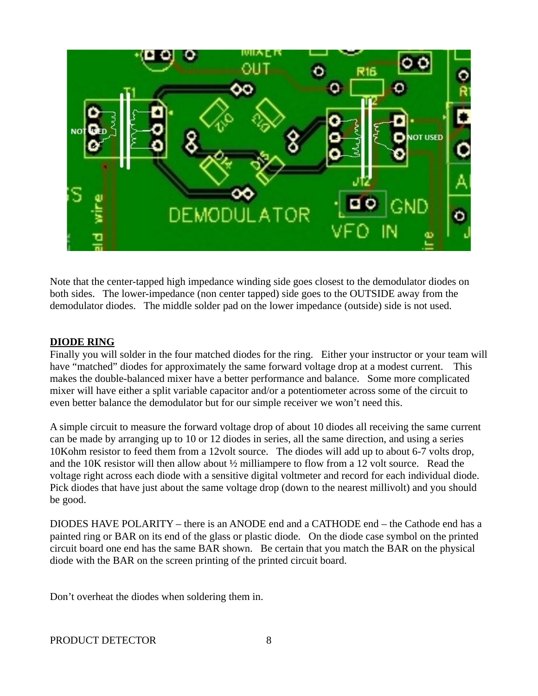

Note that the center-tapped high impedance winding side goes closest to the demodulator diodes on both sides. The lower-impedance (non center tapped) side goes to the OUTSIDE away from the demodulator diodes. The middle solder pad on the lower impedance (outside) side is not used.

## **DIODE RING**

Finally you will solder in the four matched diodes for the ring. Either your instructor or your team will have "matched" diodes for approximately the same forward voltage drop at a modest current. This makes the double-balanced mixer have a better performance and balance. Some more complicated mixer will have either a split variable capacitor and/or a potentiometer across some of the circuit to even better balance the demodulator but for our simple receiver we won't need this.

A simple circuit to measure the forward voltage drop of about 10 diodes all receiving the same current can be made by arranging up to 10 or 12 diodes in series, all the same direction, and using a series 10Kohm resistor to feed them from a 12volt source. The diodes will add up to about 6-7 volts drop, and the 10K resistor will then allow about ½ milliampere to flow from a 12 volt source. Read the voltage right across each diode with a sensitive digital voltmeter and record for each individual diode. Pick diodes that have just about the same voltage drop (down to the nearest millivolt) and you should be good.

DIODES HAVE POLARITY – there is an ANODE end and a CATHODE end – the Cathode end has a painted ring or BAR on its end of the glass or plastic diode. On the diode case symbol on the printed circuit board one end has the same BAR shown. Be certain that you match the BAR on the physical diode with the BAR on the screen printing of the printed circuit board.

Don't overheat the diodes when soldering them in.